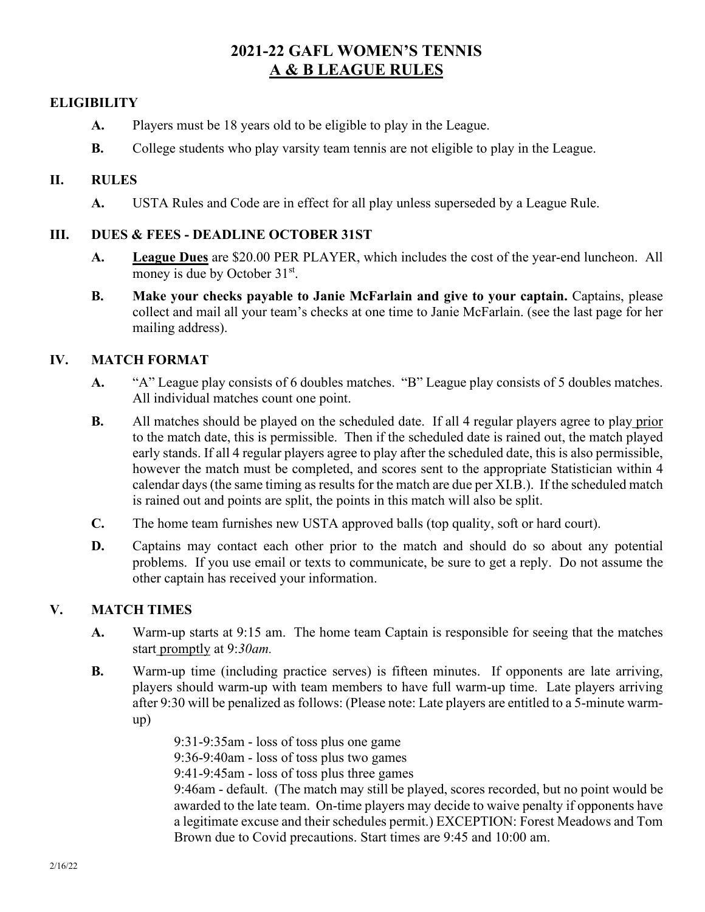# **2021-22 GAFL WOMEN'S TENNIS A & B LEAGUE RULES**

## **ELIGIBILITY**

- **A.** Players must be 18 years old to be eligible to play in the League.
- **B.** College students who play varsity team tennis are not eligible to play in the League.

## **II. RULES**

**A.** USTA Rules and Code are in effect for all play unless superseded by a League Rule.

## **III. DUES & FEES - DEADLINE OCTOBER 31ST**

- **A. League Dues** are \$20.00 PER PLAYER, which includes the cost of the year-end luncheon. All money is due by October 31<sup>st</sup>.
- **B. Make your checks payable to Janie McFarlain and give to your captain.** Captains, please collect and mail all your team's checks at one time to Janie McFarlain. (see the last page for her mailing address).

## **IV. MATCH FORMAT**

- **A.** "A" League play consists of 6 doubles matches. "B" League play consists of 5 doubles matches. All individual matches count one point.
- **B.** All matches should be played on the scheduled date. If all 4 regular players agree to play prior to the match date, this is permissible. Then if the scheduled date is rained out, the match played early stands. If all 4 regular players agree to play after the scheduled date, this is also permissible, however the match must be completed, and scores sent to the appropriate Statistician within 4 calendar days (the same timing as results for the match are due per XI.B.). If the scheduled match is rained out and points are split, the points in this match will also be split.
- **C.** The home team furnishes new USTA approved balls (top quality, soft or hard court).
- **D.** Captains may contact each other prior to the match and should do so about any potential problems. If you use email or texts to communicate, be sure to get a reply. Do not assume the other captain has received your information.

## **V. MATCH TIMES**

- **A.** Warm-up starts at 9:15 am. The home team Captain is responsible for seeing that the matches start promptly at 9:*30am.*
- **B.** Warm-up time (including practice serves) is fifteen minutes. If opponents are late arriving, players should warm-up with team members to have full warm-up time. Late players arriving after 9:30 will be penalized as follows: (Please note: Late players are entitled to a 5-minute warmup)

9:31-9:35am - loss of toss plus one game 9:36-9:40am - loss of toss plus two games 9:41-9:45am - loss of toss plus three games 9:46am - default. (The match may still be played, scores recorded, but no point would be awarded to the late team. On-time players may decide to waive penalty if opponents have a legitimate excuse and their schedules permit.) EXCEPTION: Forest Meadows and Tom

Brown due to Covid precautions. Start times are 9:45 and 10:00 am.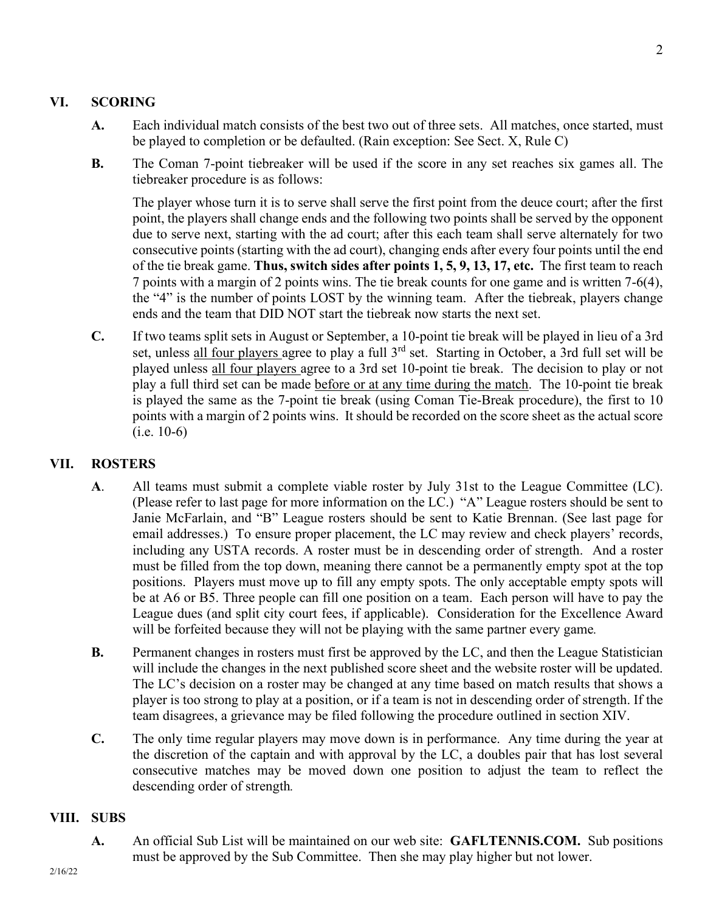## **VI. SCORING**

- **A.** Each individual match consists of the best two out of three sets. All matches, once started, must be played to completion or be defaulted. (Rain exception: See Sect. X, Rule C)
- **B.** The Coman 7-point tiebreaker will be used if the score in any set reaches six games all. The tiebreaker procedure is as follows:

The player whose turn it is to serve shall serve the first point from the deuce court; after the first point, the players shall change ends and the following two points shall be served by the opponent due to serve next, starting with the ad court; after this each team shall serve alternately for two consecutive points (starting with the ad court), changing ends after every four points until the end of the tie break game. **Thus, switch sides after points 1, 5, 9, 13, 17, etc.** The first team to reach 7 points with a margin of 2 points wins. The tie break counts for one game and is written 7-6(4), the "4" is the number of points LOST by the winning team. After the tiebreak, players change ends and the team that DID NOT start the tiebreak now starts the next set.

**C.** If two teams split sets in August or September, a 10-point tie break will be played in lieu of a 3rd set, unless all four players agree to play a full 3<sup>rd</sup> set. Starting in October, a 3rd full set will be played unless all four players agree to a 3rd set 10-point tie break. The decision to play or not play a full third set can be made before or at any time during the match. The 10-point tie break is played the same as the 7-point tie break (using Coman Tie-Break procedure), the first to 10 points with a margin of 2 points wins. It should be recorded on the score sheet as the actual score (i.e. 10-6)

## **VII. ROSTERS**

- **A**. All teams must submit a complete viable roster by July 31st to the League Committee (LC). (Please refer to last page for more information on the LC.) "A" League rosters should be sent to Janie McFarlain, and "B" League rosters should be sent to Katie Brennan. (See last page for email addresses.) To ensure proper placement, the LC may review and check players' records, including any USTA records. A roster must be in descending order of strength. And a roster must be filled from the top down, meaning there cannot be a permanently empty spot at the top positions. Players must move up to fill any empty spots. The only acceptable empty spots will be at A6 or B5. Three people can fill one position on a team. Each person will have to pay the League dues (and split city court fees, if applicable). Consideration for the Excellence Award will be forfeited because they will not be playing with the same partner every game*.*
- **B.** Permanent changes in rosters must first be approved by the LC, and then the League Statistician will include the changes in the next published score sheet and the website roster will be updated. The LC's decision on a roster may be changed at any time based on match results that shows a player is too strong to play at a position, or if a team is not in descending order of strength. If the team disagrees, a grievance may be filed following the procedure outlined in section XIV.
- **C.** The only time regular players may move down is in performance. Any time during the year at the discretion of the captain and with approval by the LC, a doubles pair that has lost several consecutive matches may be moved down one position to adjust the team to reflect the descending order of strength*.*

#### **VIII. SUBS**

**A.** An official Sub List will be maintained on our web site: **GAFLTENNIS.COM.** Sub positions must be approved by the Sub Committee. Then she may play higher but not lower.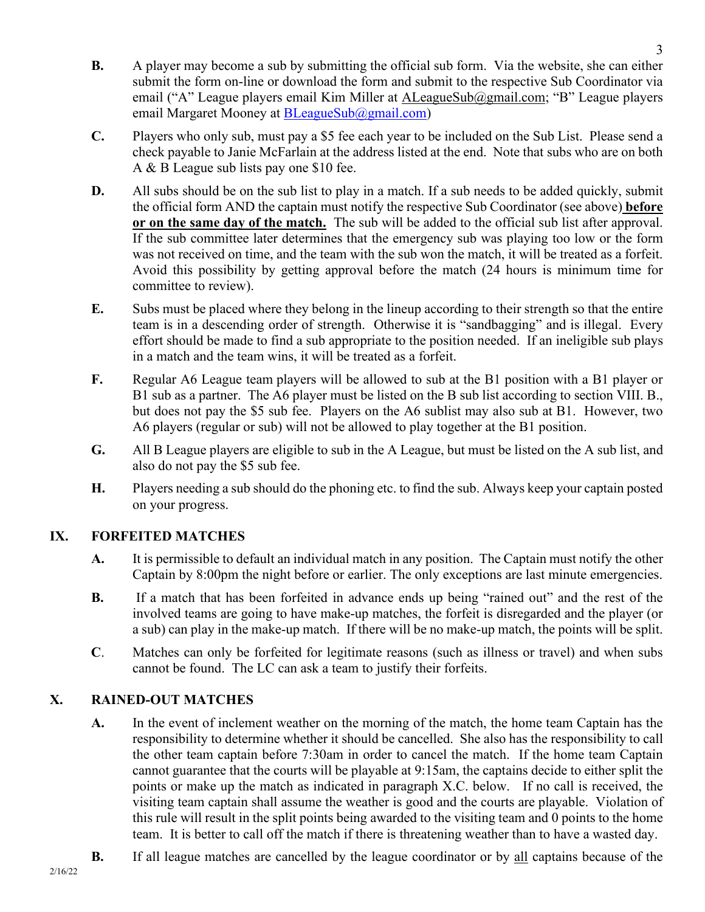- **B.** A player may become a sub by submitting the official sub form. Via the website, she can either submit the form on-line or download the form and submit to the respective Sub Coordinator via email ("A" League players email Kim Miller at ALeagueSub@gmail.com; "B" League players email Margaret Mooney at [BLeagueSub@gmail.com\)](mailto:BLeagueSub@gmail.com)
- **C.** Players who only sub, must pay a \$5 fee each year to be included on the Sub List. Please send a check payable to Janie McFarlain at the address listed at the end. Note that subs who are on both A & B League sub lists pay one \$10 fee.
- **D.** All subs should be on the sub list to play in a match. If a sub needs to be added quickly, submit the official form AND the captain must notify the respective Sub Coordinator (see above) **before or on the same day of the match.** The sub will be added to the official sub list after approval. If the sub committee later determines that the emergency sub was playing too low or the form was not received on time, and the team with the sub won the match, it will be treated as a forfeit. Avoid this possibility by getting approval before the match (24 hours is minimum time for committee to review).
- **E.** Subs must be placed where they belong in the lineup according to their strength so that the entire team is in a descending order of strength. Otherwise it is "sandbagging" and is illegal. Every effort should be made to find a sub appropriate to the position needed. If an ineligible sub plays in a match and the team wins, it will be treated as a forfeit.
- **F.** Regular A6 League team players will be allowed to sub at the B1 position with a B1 player or B1 sub as a partner. The A6 player must be listed on the B sub list according to section VIII. B., but does not pay the \$5 sub fee. Players on the A6 sublist may also sub at B1. However, two A6 players (regular or sub) will not be allowed to play together at the B1 position.
- **G.** All B League players are eligible to sub in the A League, but must be listed on the A sub list, and also do not pay the \$5 sub fee.
- **H.** Players needing a sub should do the phoning etc. to find the sub. Always keep your captain posted on your progress.

## **IX. FORFEITED MATCHES**

- **A.** It is permissible to default an individual match in any position. The Captain must notify the other Captain by 8:00pm the night before or earlier. The only exceptions are last minute emergencies.
- **B.** If a match that has been forfeited in advance ends up being "rained out" and the rest of the involved teams are going to have make-up matches, the forfeit is disregarded and the player (or a sub) can play in the make-up match. If there will be no make-up match, the points will be split.
- **C**. Matches can only be forfeited for legitimate reasons (such as illness or travel) and when subs cannot be found. The LC can ask a team to justify their forfeits.

## **X. RAINED-OUT MATCHES**

- **A.** In the event of inclement weather on the morning of the match, the home team Captain has the responsibility to determine whether it should be cancelled. She also has the responsibility to call the other team captain before 7:30am in order to cancel the match. If the home team Captain cannot guarantee that the courts will be playable at 9:15am, the captains decide to either split the points or make up the match as indicated in paragraph X.C. below. If no call is received, the visiting team captain shall assume the weather is good and the courts are playable. Violation of this rule will result in the split points being awarded to the visiting team and 0 points to the home team. It is better to call off the match if there is threatening weather than to have a wasted day.
- **B.** If all league matches are cancelled by the league coordinator or by all captains because of the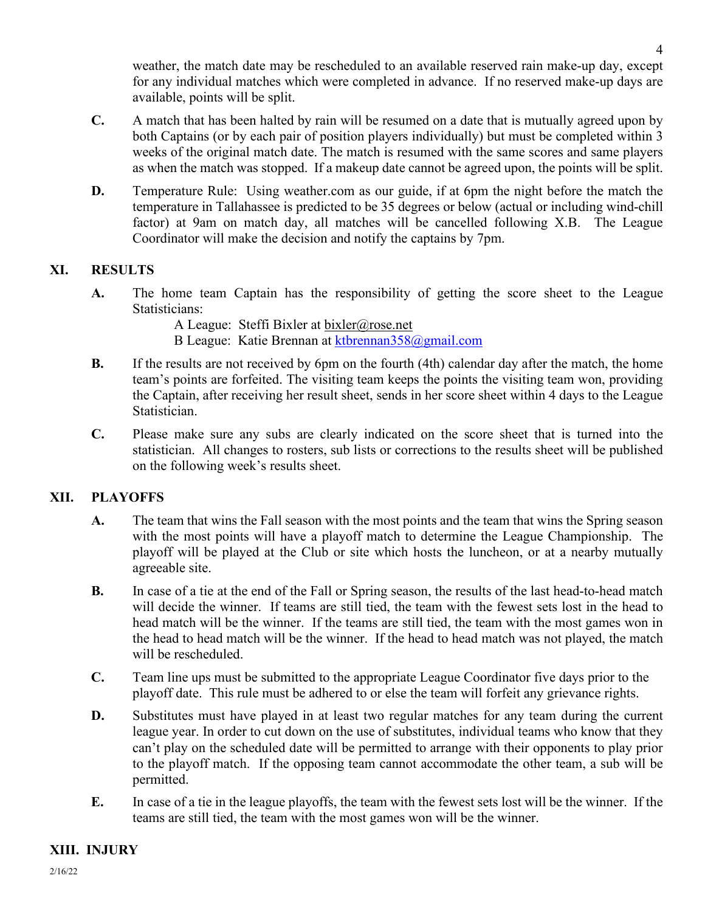weather, the match date may be rescheduled to an available reserved rain make-up day, except for any individual matches which were completed in advance. If no reserved make-up days are available, points will be split.

- **C.** A match that has been halted by rain will be resumed on a date that is mutually agreed upon by both Captains (or by each pair of position players individually) but must be completed within 3 weeks of the original match date. The match is resumed with the same scores and same players as when the match was stopped. If a makeup date cannot be agreed upon, the points will be split.
- **D.** Temperature Rule: Using weather.com as our guide, if at 6pm the night before the match the temperature in Tallahassee is predicted to be 35 degrees or below (actual or including wind-chill factor) at 9am on match day, all matches will be cancelled following X.B. The League Coordinator will make the decision and notify the captains by 7pm.

## **XI. RESULTS**

- **A.** The home team Captain has the responsibility of getting the score sheet to the League Statisticians:
	- A League: Steffi Bixler at [bixler@rose.net](mailto:bixler@rose.net)
	- B League: Katie Brennan at [ktbrennan358@gmail.com](mailto:ktbrennan358@gmail.com)
- **B.** If the results are not received by 6pm on the fourth (4th) calendar day after the match, the home team's points are forfeited. The visiting team keeps the points the visiting team won, providing the Captain, after receiving her result sheet, sends in her score sheet within 4 days to the League Statistician.
- **C.** Please make sure any subs are clearly indicated on the score sheet that is turned into the statistician. All changes to rosters, sub lists or corrections to the results sheet will be published on the following week's results sheet.

## **XII. PLAYOFFS**

- **A.** The team that wins the Fall season with the most points and the team that wins the Spring season with the most points will have a playoff match to determine the League Championship. The playoff will be played at the Club or site which hosts the luncheon, or at a nearby mutually agreeable site.
- **B.** In case of a tie at the end of the Fall or Spring season, the results of the last head-to-head match will decide the winner. If teams are still tied, the team with the fewest sets lost in the head to head match will be the winner. If the teams are still tied, the team with the most games won in the head to head match will be the winner. If the head to head match was not played, the match will be rescheduled.
- **C.** Team line ups must be submitted to the appropriate League Coordinator five days prior to the playoff date. This rule must be adhered to or else the team will forfeit any grievance rights.
- **D.** Substitutes must have played in at least two regular matches for any team during the current league year. In order to cut down on the use of substitutes, individual teams who know that they can't play on the scheduled date will be permitted to arrange with their opponents to play prior to the playoff match. If the opposing team cannot accommodate the other team, a sub will be permitted.
- **E.** In case of a tie in the league playoffs, the team with the fewest sets lost will be the winner. If the teams are still tied, the team with the most games won will be the winner.

## **XIII. INJURY**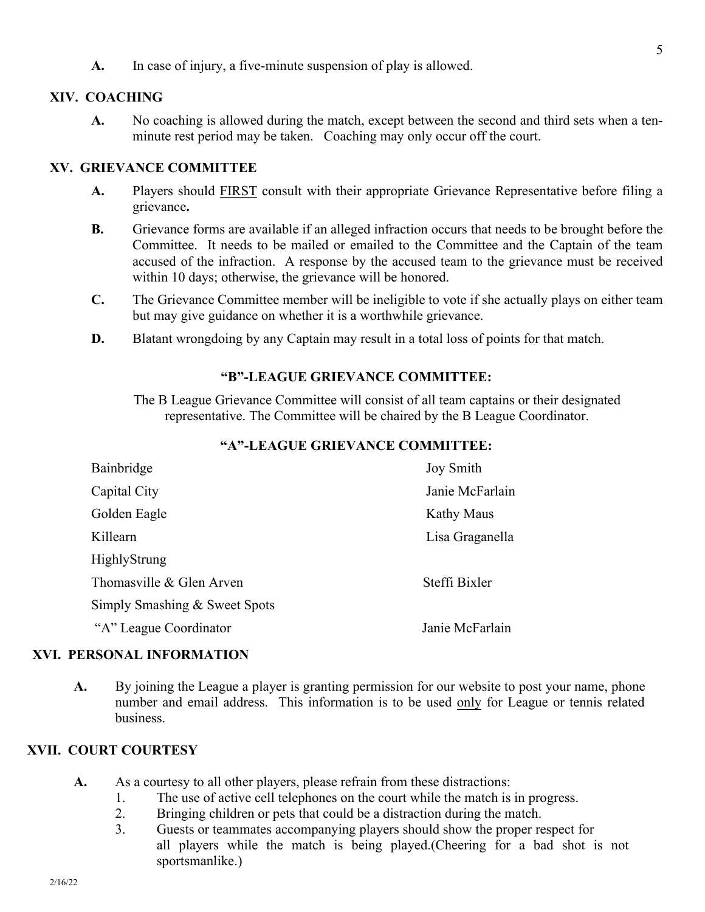**A.** In case of injury, a five-minute suspension of play is allowed.

#### **XIV. COACHING**

**A.** No coaching is allowed during the match, except between the second and third sets when a tenminute rest period may be taken. Coaching may only occur off the court.

#### **XV. GRIEVANCE COMMITTEE**

- **A.** Players should FIRST consult with their appropriate Grievance Representative before filing a grievance**.**
- **B.** Grievance forms are available if an alleged infraction occurs that needs to be brought before the Committee. It needs to be mailed or emailed to the Committee and the Captain of the team accused of the infraction. A response by the accused team to the grievance must be received within 10 days; otherwise, the grievance will be honored.
- **C.** The Grievance Committee member will be ineligible to vote if she actually plays on either team but may give guidance on whether it is a worthwhile grievance.
- **D.** Blatant wrongdoing by any Captain may result in a total loss of points for that match.

#### **"B"-LEAGUE GRIEVANCE COMMITTEE:**

The B League Grievance Committee will consist of all team captains or their designated representative. The Committee will be chaired by the B League Coordinator.

#### **"A"-LEAGUE GRIEVANCE COMMITTEE:**

| Bainbridge                    | <b>Joy Smith</b>  |
|-------------------------------|-------------------|
| Capital City                  | Janie McFarlain   |
| Golden Eagle                  | <b>Kathy Maus</b> |
| Killearn                      | Lisa Graganella   |
| <b>HighlyStrung</b>           |                   |
| Thomasville & Glen Arven      | Steffi Bixler     |
| Simply Smashing & Sweet Spots |                   |
| "A" League Coordinator        | Janie McFarlain   |

#### **XVI. PERSONAL INFORMATION**

**A.** By joining the League a player is granting permission for our website to post your name, phone number and email address. This information is to be used only for League or tennis related business.

#### **XVII. COURT COURTESY**

- A. As a courtesy to all other players, please refrain from these distractions:
	- 1. The use of active cell telephones on the court while the match is in progress.
	- 2. Bringing children or pets that could be a distraction during the match.
	- 3. Guests or teammates accompanying players should show the proper respect for all players while the match is being played.(Cheering for a bad shot is not sportsmanlike.)